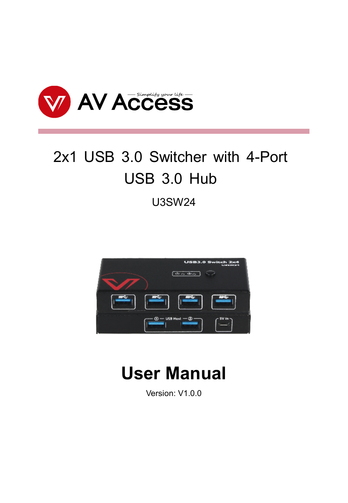

# 2x1 USB 3.0 Switcher with 4-Port USB 3.0 Hub

U3SW24



## **User Manual**

Version: V1.0.0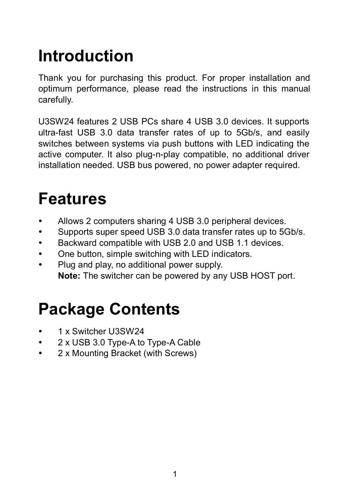# **Introduction**

Thank you for purchasing this product. For proper installation and optimum performance, please read the instructions in this manual carefully.

U3SW24 features 2 USB PCs share 4 USB 3.0 devices. It supports ultra-fast USB 3.0 data transfer rates of up to 5Gb/s, and easily switches between systems via push buttons with LED indicating the active computer. It also plug-n-play compatible, no additional driver installation needed. USB bus powered, no power adapter required.

### **Features**

- Allows 2 computers sharing 4 USB 3.0 peripheral devices.
- Supports super speed USB 3.0 data transfer rates up to 5Gb/s.
- Backward compatible with USB 2.0 and USB 1.1 devices.
- One button, simple switching with LED indicators.
- Plug and play, no additional power supply. **Note:** The switcher can be powered by any USB HOST port.

# **Package Contents**

- 1 x Switcher U3SW24
- 2 x USB 3.0 Type-A to Type-A Cable
- 2 x Mounting Bracket (with Screws)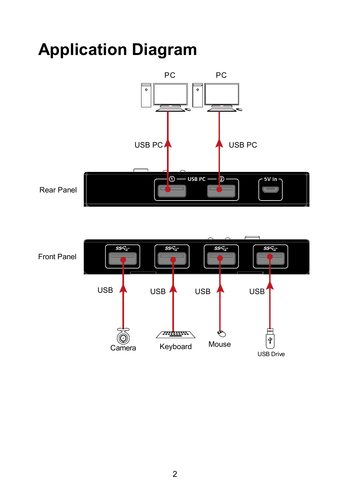# **Application Diagram**



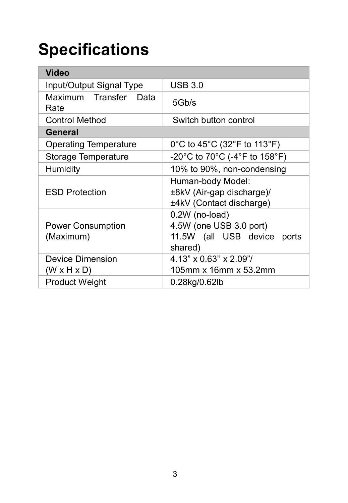# **Specifications**

| Video                                       |                                                                                     |  |  |
|---------------------------------------------|-------------------------------------------------------------------------------------|--|--|
| Input/Output Signal Type                    | <b>USB 3.0</b>                                                                      |  |  |
| Maximum Transfer Data<br>Rate               | 5Gb/s                                                                               |  |  |
| <b>Control Method</b>                       | Switch button control                                                               |  |  |
| General                                     |                                                                                     |  |  |
| Operating Temperature                       | 0°C to 45°C (32°F to 113°F)                                                         |  |  |
| Storage Temperature                         | -20°C to 70°C (-4°F to 158°F)                                                       |  |  |
| Humidity                                    | 10% to 90%, non-condensing                                                          |  |  |
| <b>ESD Protection</b>                       | Human-body Model:<br>±8kV (Air-gap discharge)/<br>±4kV (Contact discharge)          |  |  |
| Power Consumption<br>(Maximum)              | 0.2W (no-load)<br>4.5W (one USB 3.0 port)<br>11.5W (all USB device ports<br>shared) |  |  |
| Device Dimension<br>$(W \times H \times D)$ | 4.13" x 0.63" x 2.09"/<br>105mm x 16mm x 53.2mm                                     |  |  |
| <b>Product Weight</b>                       | 0.28kg/0.62lb                                                                       |  |  |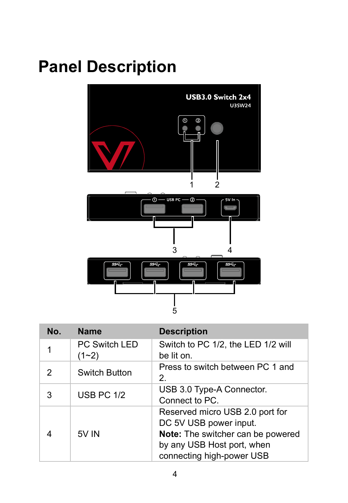# **Panel Description**



| No. | <b>Name</b>                | <b>Description</b>                                                                                                                                        |
|-----|----------------------------|-----------------------------------------------------------------------------------------------------------------------------------------------------------|
| 1   | PC Switch LED<br>$(1 - 2)$ | Switch to PC 1/2, the LED 1/2 will<br>be lit on.                                                                                                          |
| 2   | Switch Button              | Press to switch between PC 1 and<br>2.                                                                                                                    |
| 3   | <b>USB PC 1/2</b>          | USB 3.0 Type-A Connector.<br>Connect to PC.                                                                                                               |
|     | 5V IN                      | Reserved micro USB 2.0 port for<br>DC 5V USB power input.<br>Note: The switcher can be powered<br>by any USB Host port, when<br>connecting high-power USB |